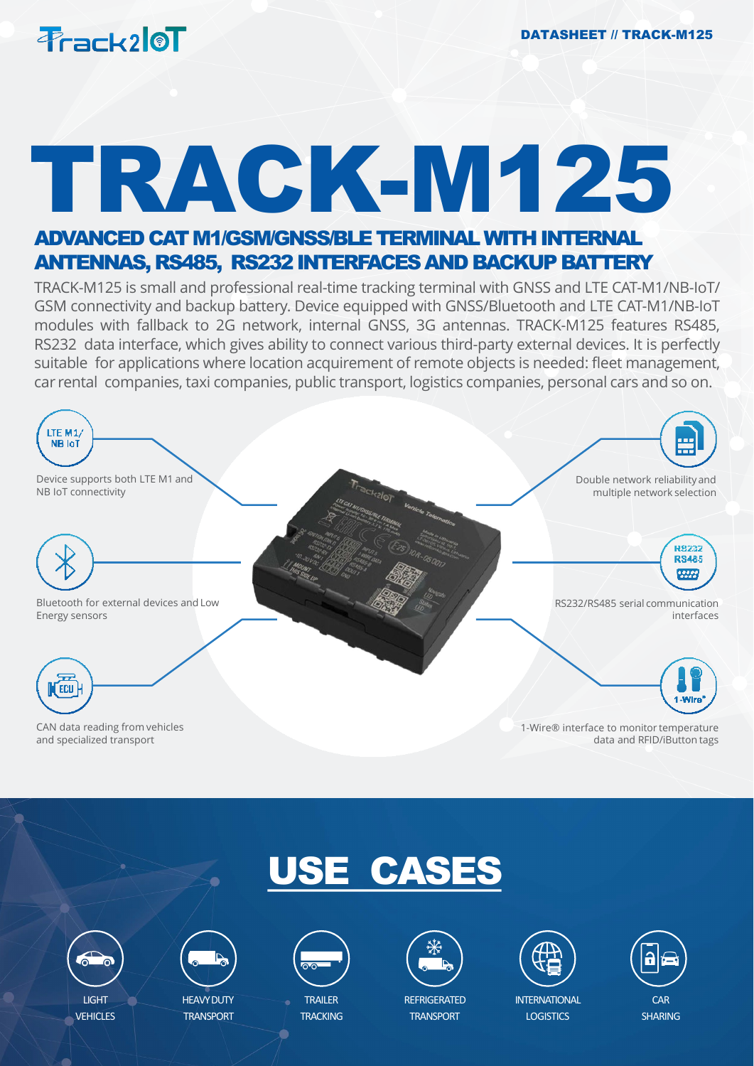

# TRACK-M125

### ADVANCED CAT M1/GSM/GNSS/BLE TERMINAL WITH INTERNAL ANTENNAS, RS485, RS232 INTERFACES AND BACKUP BATTERY

TRACK-M125 is small and professional real-time tracking terminal with GNSS and LTE CAT-M1/NB-IoT/ GSM connectivity and backup battery. Device equipped with GNSS/Bluetooth and LTE CAT-M1/NB-IoT modules with fallback to 2G network, internal GNSS, 3G antennas. TRACK-M125 features RS485, RS232 data interface, which gives ability to connect various third-party external devices. It is perfectly suitable for applications where location acquirement of remote objects is needed: fleet management, car rental companies, taxi companies, public transport, logistics companies, personal cars and so on.



## USE CASES



**VEHICLES** 



HEAVY DUTY **TRANSPORT** 



TRAILER **TRACKING** 



**REFRIGERATED TRANSPORT** 



**INTFRNATIONAL LOGISTICS** 



**SHARING**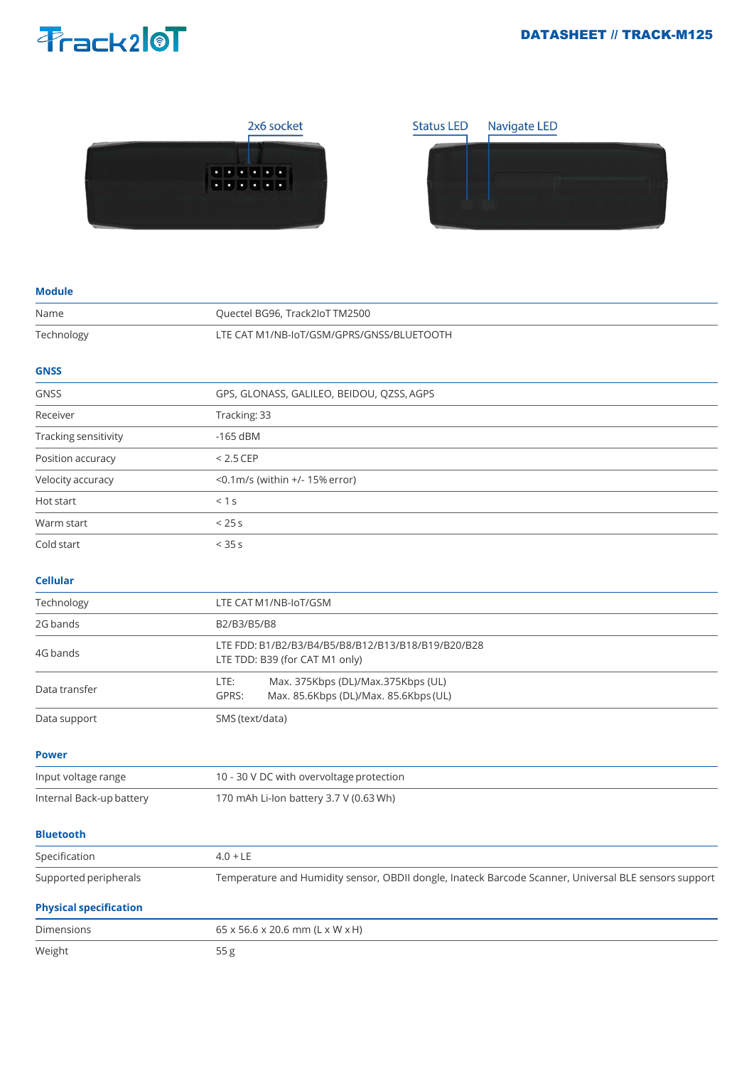## Prack210T

#### DATASHEET // TRACK-M125





#### **Module**

| Name                          | Quectel BG96, Track2loT TM2500                                                                        |
|-------------------------------|-------------------------------------------------------------------------------------------------------|
| Technology                    | LTE CAT M1/NB-IoT/GSM/GPRS/GNSS/BLUETOOTH                                                             |
| <b>GNSS</b>                   |                                                                                                       |
| <b>GNSS</b>                   | GPS, GLONASS, GALILEO, BEIDOU, QZSS, AGPS                                                             |
| Receiver                      | Tracking: 33                                                                                          |
| Tracking sensitivity          | $-165$ dBM                                                                                            |
| Position accuracy             | $< 2.5$ CEP                                                                                           |
| Velocity accuracy             | $<$ 0.1m/s (within +/- 15% error)                                                                     |
| Hot start                     | < 1 s                                                                                                 |
| Warm start                    | < 25s                                                                                                 |
| Cold start                    | < 35s                                                                                                 |
| <b>Cellular</b>               |                                                                                                       |
| Technology                    | LTE CAT M1/NB-IoT/GSM                                                                                 |
| 2G bands                      | B2/B3/B5/B8                                                                                           |
| 4G bands                      | LTE FDD: B1/B2/B3/B4/B5/B8/B12/B13/B18/B19/B20/B28<br>LTE TDD: B39 (for CAT M1 only)                  |
| Data transfer                 | LTE:<br>Max. 375Kbps (DL)/Max.375Kbps (UL)<br>GPRS:<br>Max. 85.6Kbps (DL)/Max. 85.6Kbps (UL)          |
| Data support                  | SMS (text/data)                                                                                       |
| <b>Power</b>                  |                                                                                                       |
| Input voltage range           | 10 - 30 V DC with overvoltage protection                                                              |
| Internal Back-up battery      | 170 mAh Li-Ion battery 3.7 V (0.63 Wh)                                                                |
| <b>Bluetooth</b>              |                                                                                                       |
| Specification                 | $4.0 + LE$                                                                                            |
| Supported peripherals         | Temperature and Humidity sensor, OBDII dongle, Inateck Barcode Scanner, Universal BLE sensors support |
| <b>Physical specification</b> |                                                                                                       |
| Dimensions                    | 65 x 56.6 x 20.6 mm (L x W x H)                                                                       |
| Weight                        | 55 g                                                                                                  |